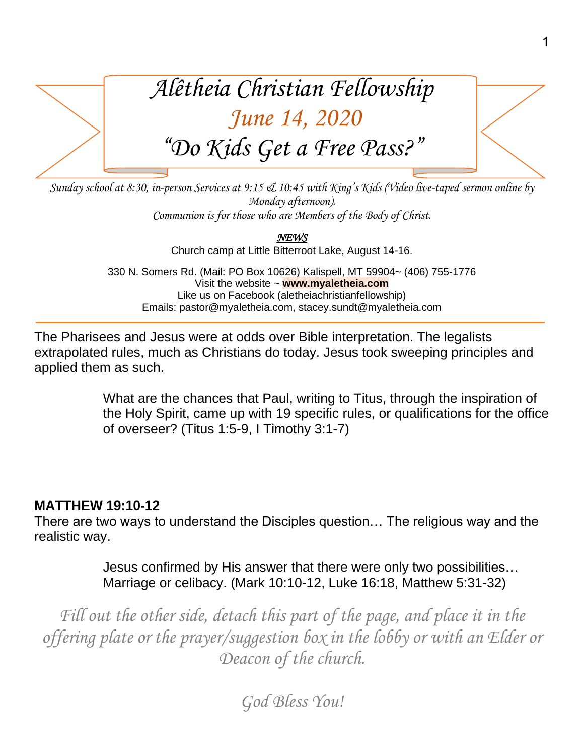

*Sunday school at 8:30, in-person Services at 9:15 & 10:45 with King's Kids (Video live-taped sermon online by Monday afternoon). Communion is for those who are Members of the Body of Christ.*

> *NEWS*  Church camp at Little Bitterroot Lake, August 14-16.

330 N. Somers Rd. (Mail: PO Box 10626) Kalispell, MT 59904~ (406) 755-1776 Visit the website ~ **www.myaletheia.com** Like us on Facebook (aletheiachristianfellowship) Emails: pastor@myaletheia.com, stacey.sundt@myaletheia.com

The Pharisees and Jesus were at odds over Bible interpretation. The legalists extrapolated rules, much as Christians do today. Jesus took sweeping principles and applied them as such.

> What are the chances that Paul, writing to Titus, through the inspiration of the Holy Spirit, came up with 19 specific rules, or qualifications for the office of overseer? (Titus 1:5-9, I Timothy 3:1-7)

## **MATTHEW 19:10-12**

There are two ways to understand the Disciples question… The religious way and the realistic way.

> Jesus confirmed by His answer that there were only two possibilities… Marriage or celibacy. (Mark 10:10-12, Luke 16:18, Matthew 5:31-32)

*Fill out the other side, detach this part of the page, and place it in the offering plate or the prayer/suggestion box in the lobby or with an Elder or Deacon of the church.*

*God Bless You!*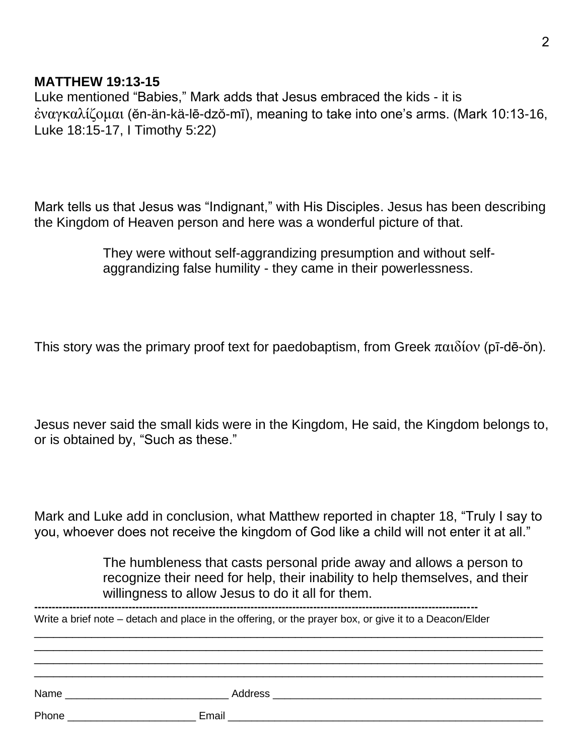## **MATTHEW 19:13-15**

Luke mentioned "Babies," Mark adds that Jesus embraced the kids - it is ἐναγκαλίζομαι (ĕn-än-kä-lē-dzŏ-mī), meaning to take into one's arms. (Mark 10:13-16, Luke 18:15-17, I Timothy 5:22)

Mark tells us that Jesus was "Indignant," with His Disciples. Jesus has been describing the Kingdom of Heaven person and here was a wonderful picture of that.

> They were without self-aggrandizing presumption and without selfaggrandizing false humility - they came in their powerlessness.

This story was the primary proof text for paedobaptism, from Greek παιδίον (pī-dē-ŏn).

Jesus never said the small kids were in the Kingdom, He said, the Kingdom belongs to, or is obtained by, "Such as these."

Mark and Luke add in conclusion, what Matthew reported in chapter 18, "Truly I say to you, whoever does not receive the kingdom of God like a child will not enter it at all."

> The humbleness that casts personal pride away and allows a person to recognize their need for help, their inability to help themselves, and their willingness to allow Jesus to do it all for them.

Write a brief note – detach and place in the offering, or the prayer box, or give it to a Deacon/Elder \_\_\_\_\_\_\_\_\_\_\_\_\_\_\_\_\_\_\_\_\_\_\_\_\_\_\_\_\_\_\_\_\_\_\_\_\_\_\_\_\_\_\_\_\_\_\_\_\_\_\_\_\_\_\_\_\_\_\_\_\_\_\_\_\_\_\_\_\_\_\_\_\_\_\_\_\_\_\_\_ \_\_\_\_\_\_\_\_\_\_\_\_\_\_\_\_\_\_\_\_\_\_\_\_\_\_\_\_\_\_\_\_\_\_\_\_\_\_\_\_\_\_\_\_\_\_\_\_\_\_\_\_\_\_\_\_\_\_\_\_\_\_\_\_\_\_\_\_\_\_\_\_\_\_\_\_\_\_\_\_ \_\_\_\_\_\_\_\_\_\_\_\_\_\_\_\_\_\_\_\_\_\_\_\_\_\_\_\_\_\_\_\_\_\_\_\_\_\_\_\_\_\_\_\_\_\_\_\_\_\_\_\_\_\_\_\_\_\_\_\_\_\_\_\_\_\_\_\_\_\_\_\_\_\_\_\_\_\_\_\_ \_\_\_\_\_\_\_\_\_\_\_\_\_\_\_\_\_\_\_\_\_\_\_\_\_\_\_\_\_\_\_\_\_\_\_\_\_\_\_\_\_\_\_\_\_\_\_\_\_\_\_\_\_\_\_\_\_\_\_\_\_\_\_\_\_\_\_\_\_\_\_\_\_\_\_\_\_\_\_\_ Name the contract of the contract of  $\Delta$ ddress  $\Delta$  and  $\Delta$  and  $\Delta$  and  $\Delta$  and  $\Delta$  and  $\Delta$  and  $\Delta$  and  $\Delta$  and  $\Delta$  and  $\Delta$  and  $\Delta$  and  $\Delta$  and  $\Delta$  and  $\Delta$  and  $\Delta$  and  $\Delta$  and  $\Delta$  and  $\Delta$  and  $\Delta$  and  $\Delta$ Phone **Email Email**  Email **Email Email Email Email Email**  *Email <b>Email Phone Phone Phone Phone Phone Phone Phone Phone Phone Phone Phone Phone Phone*

**-------------------------------------------------------------------------------------------------------------------------------**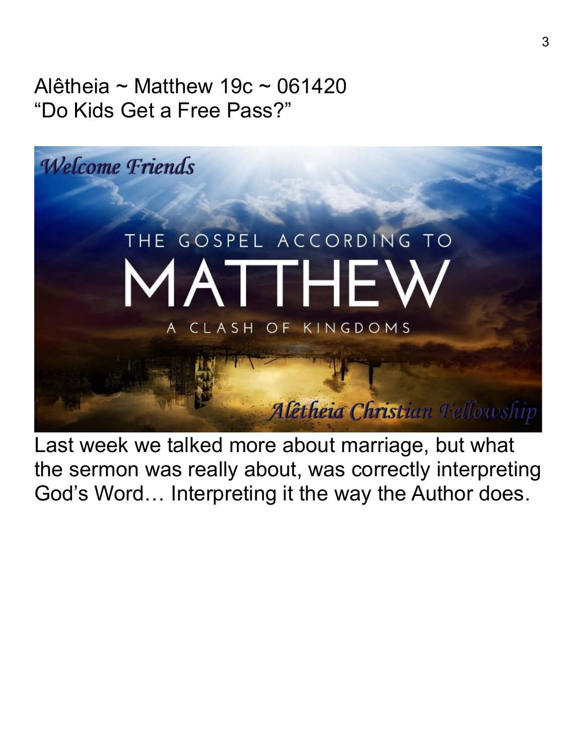Alêtheia ~ Matthew 19 $c \sim 061420$ "Do Kids Get a Free Pass?"



Last week we talked more about marriage, but what the sermon was really about, was correctly interpreting God's Word… Interpreting it the way the Author does.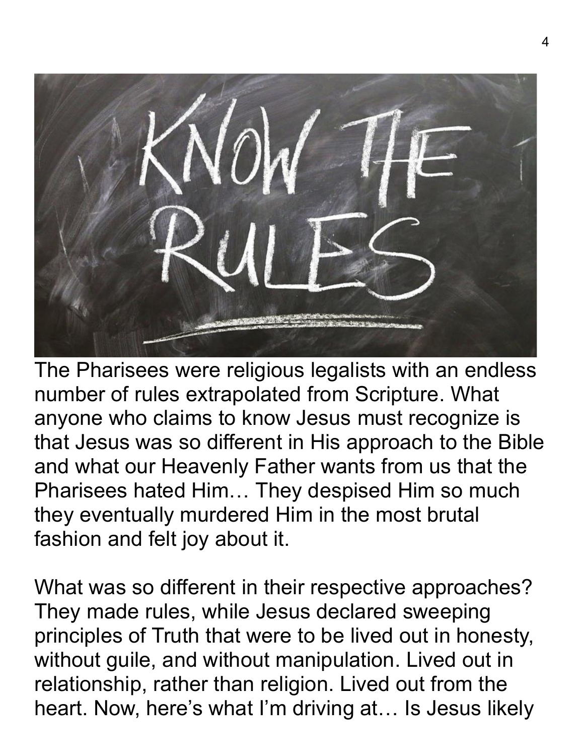

The Pharisees were religious legalists with an endless number of rules extrapolated from Scripture. What anyone who claims to know Jesus must recognize is that Jesus was so different in His approach to the Bible and what our Heavenly Father wants from us that the Pharisees hated Him… They despised Him so much they eventually murdered Him in the most brutal fashion and felt joy about it.

What was so different in their respective approaches? They made rules, while Jesus declared sweeping principles of Truth that were to be lived out in honesty, without guile, and without manipulation. Lived out in relationship, rather than religion. Lived out from the heart. Now, here's what I'm driving at… Is Jesus likely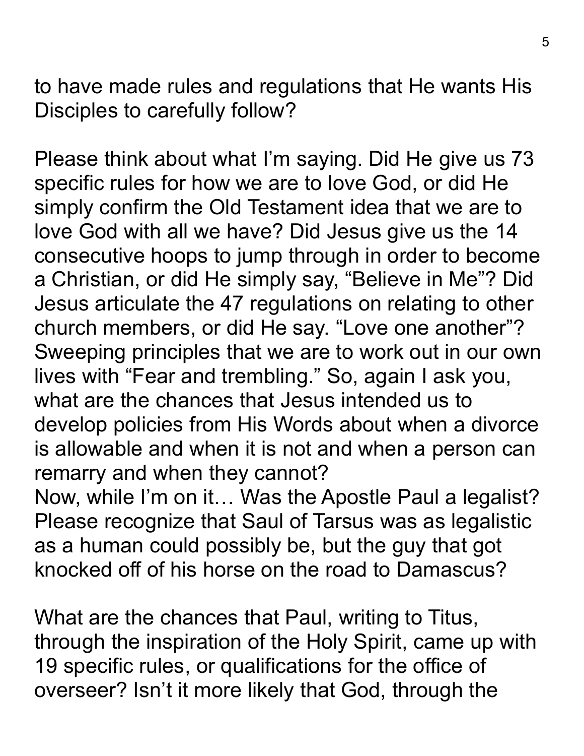to have made rules and regulations that He wants His Disciples to carefully follow?

Please think about what I'm saying. Did He give us 73 specific rules for how we are to love God, or did He simply confirm the Old Testament idea that we are to love God with all we have? Did Jesus give us the 14 consecutive hoops to jump through in order to become a Christian, or did He simply say, "Believe in Me"? Did Jesus articulate the 47 regulations on relating to other church members, or did He say. "Love one another"? Sweeping principles that we are to work out in our own lives with "Fear and trembling." So, again I ask you, what are the chances that Jesus intended us to develop policies from His Words about when a divorce is allowable and when it is not and when a person can remarry and when they cannot? Now, while I'm on it… Was the Apostle Paul a legalist? Please recognize that Saul of Tarsus was as legalistic

as a human could possibly be, but the guy that got knocked off of his horse on the road to Damascus?

What are the chances that Paul, writing to Titus, through the inspiration of the Holy Spirit, came up with 19 specific rules, or qualifications for the office of overseer? Isn't it more likely that God, through the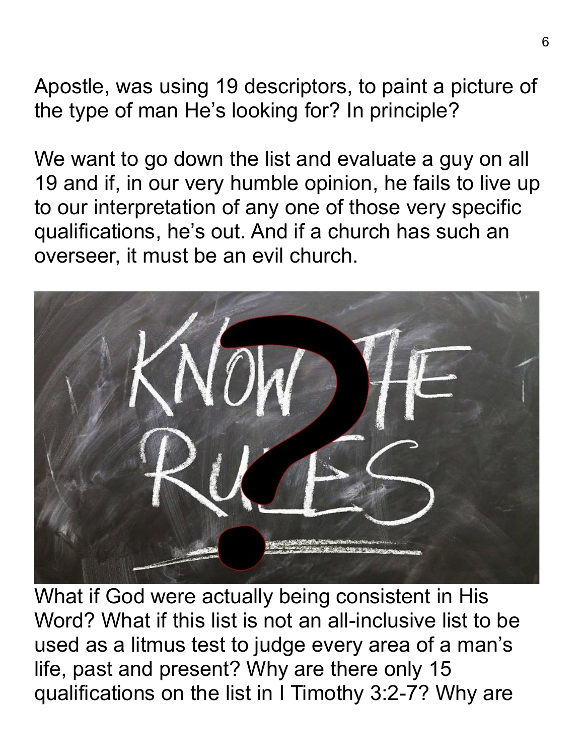Apostle, was using 19 descriptors, to paint a picture of the type of man He's looking for? In principle?

We want to go down the list and evaluate a guy on all 19 and if, in our very humble opinion, he fails to live up to our interpretation of any one of those very specific qualifications, he's out. And if a church has such an overseer, it must be an evil church.



What if God were actually being consistent in His Word? What if this list is not an all-inclusive list to be used as a litmus test to judge every area of a man's life, past and present? Why are there only 15 qualifications on the list in I Timothy 3:2-7? Why are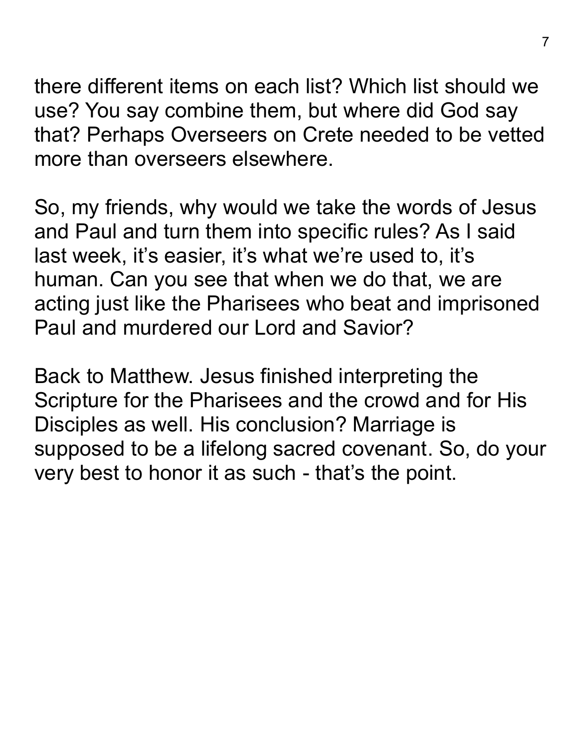there different items on each list? Which list should we use? You say combine them, but where did God say that? Perhaps Overseers on Crete needed to be vetted more than overseers elsewhere.

So, my friends, why would we take the words of Jesus and Paul and turn them into specific rules? As I said last week, it's easier, it's what we're used to, it's human. Can you see that when we do that, we are acting just like the Pharisees who beat and imprisoned Paul and murdered our Lord and Savior?

Back to Matthew. Jesus finished interpreting the Scripture for the Pharisees and the crowd and for His Disciples as well. His conclusion? Marriage is supposed to be a lifelong sacred covenant. So, do your very best to honor it as such - that's the point.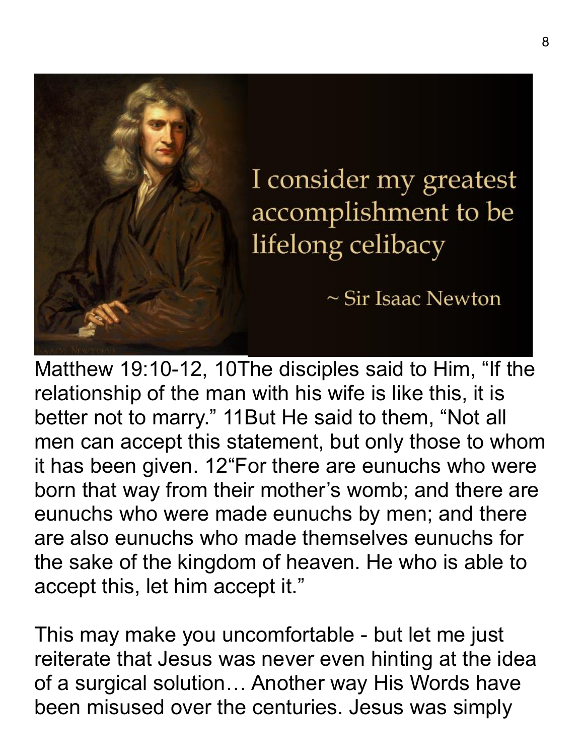

Matthew 19:10-12, 10The disciples said to Him, "If the relationship of the man with his wife is like this, it is better not to marry." 11But He said to them, "Not all men can accept this statement, but only those to whom it has been given. 12"For there are eunuchs who were born that way from their mother's womb; and there are eunuchs who were made eunuchs by men; and there are also eunuchs who made themselves eunuchs for the sake of the kingdom of heaven. He who is able to accept this, let him accept it."

This may make you uncomfortable - but let me just reiterate that Jesus was never even hinting at the idea of a surgical solution… Another way His Words have been misused over the centuries. Jesus was simply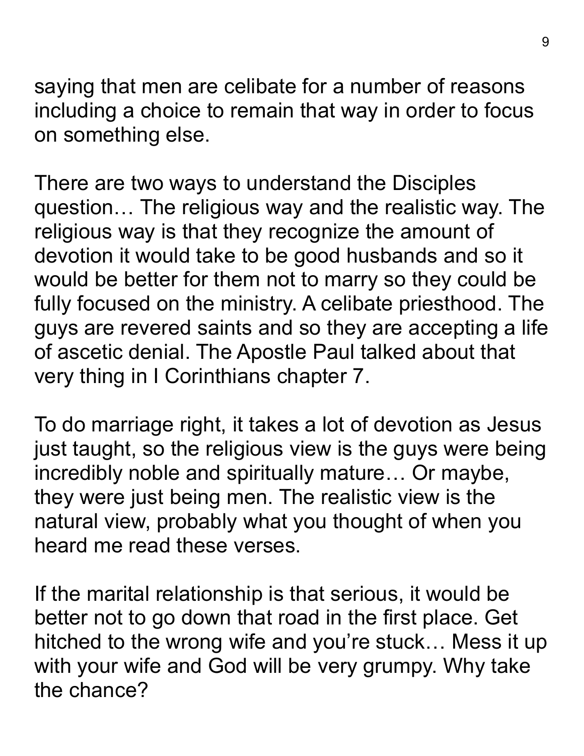saying that men are celibate for a number of reasons including a choice to remain that way in order to focus on something else.

There are two ways to understand the Disciples question… The religious way and the realistic way. The religious way is that they recognize the amount of devotion it would take to be good husbands and so it would be better for them not to marry so they could be fully focused on the ministry. A celibate priesthood. The guys are revered saints and so they are accepting a life of ascetic denial. The Apostle Paul talked about that very thing in I Corinthians chapter 7.

To do marriage right, it takes a lot of devotion as Jesus just taught, so the religious view is the guys were being incredibly noble and spiritually mature… Or maybe, they were just being men. The realistic view is the natural view, probably what you thought of when you heard me read these verses.

If the marital relationship is that serious, it would be better not to go down that road in the first place. Get hitched to the wrong wife and you're stuck… Mess it up with your wife and God will be very grumpy. Why take the chance?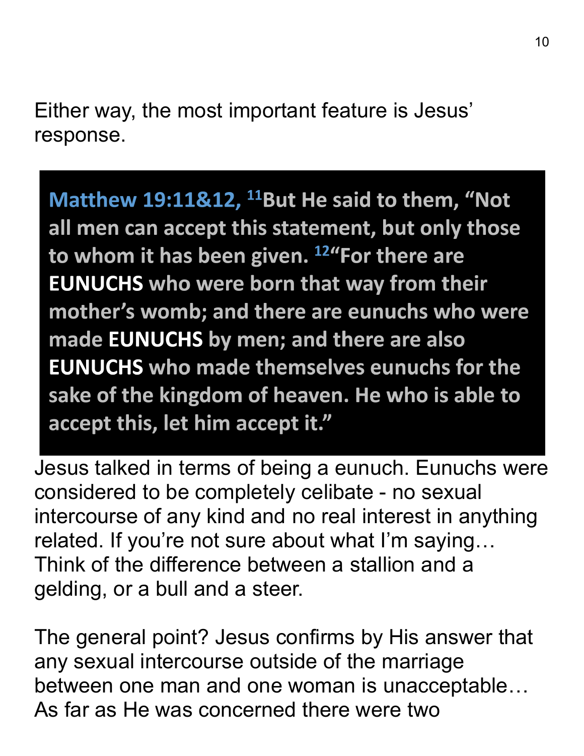Either way, the most important feature is Jesus' response.

Matthew 19:11&12, <sup>11</sup>But He said to them, "Not all men can accept this statement, but only those to whom it has been given. <sup>12</sup> "For there are **EUNUCHS who were born that way from their** mother's womb; and there are eunuchs who were made EUNUCHS by men; and there are also **EUNUCHS who made themselves eunuchs for the** sake of the kingdom of heaven. He who is able to accept this, let him accept it."

Jesus talked in terms of being a eunuch. Eunuchs were considered to be completely celibate - no sexual intercourse of any kind and no real interest in anything related. If you're not sure about what I'm saying… Think of the difference between a stallion and a gelding, or a bull and a steer.

The general point? Jesus confirms by His answer that any sexual intercourse outside of the marriage between one man and one woman is unacceptable… As far as He was concerned there were two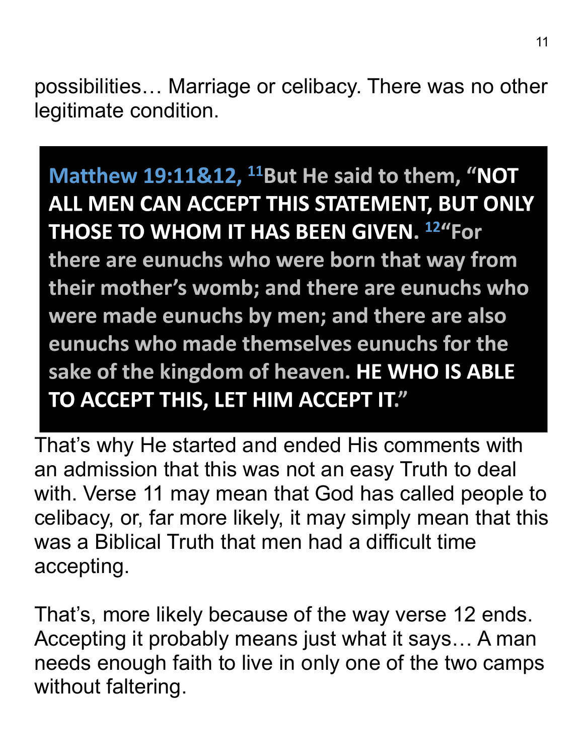possibilities… Marriage or celibacy. There was no other legitimate condition.

## Matthew 19:11&12, <sup>11</sup>But He said to them, "NOT ALL MEN CAN ACCEPT THIS STATEMENT, BUT ONLY THOSE TO WHOM IT HAS BEEN GIVEN. 12"For there are eunuchs who were born that way from

their mother's womb; and there are eunuchs who were made eunuchs by men; and there are also eunuchs who made themselves eunuchs for the sake of the kingdom of heaven. HE WHO IS ABLE TO ACCEPT THIS, LET HIM ACCEPT IT."

That's why He started and ended His comments with an admission that this was not an easy Truth to deal with. Verse 11 may mean that God has called people to celibacy, or, far more likely, it may simply mean that this was a Biblical Truth that men had a difficult time accepting.

That's, more likely because of the way verse 12 ends. Accepting it probably means just what it says… A man needs enough faith to live in only one of the two camps without faltering.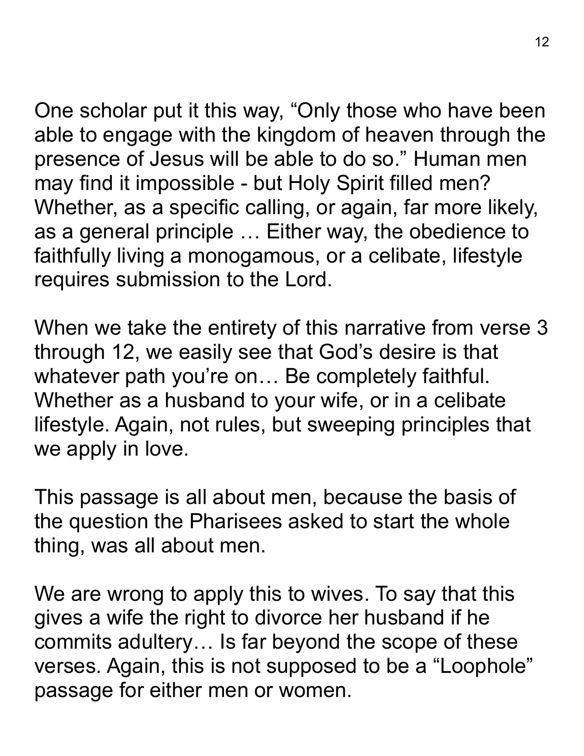One scholar put it this way, "Only those who have been able to engage with the kingdom of heaven through the presence of Jesus will be able to do so." Human men may find it impossible - but Holy Spirit filled men? Whether, as a specific calling, or again, far more likely, as a general principle … Either way, the obedience to faithfully living a monogamous, or a celibate, lifestyle requires submission to the Lord.

When we take the entirety of this narrative from verse 3 through 12, we easily see that God's desire is that whatever path you're on… Be completely faithful. Whether as a husband to your wife, or in a celibate lifestyle. Again, not rules, but sweeping principles that we apply in love.

This passage is all about men, because the basis of the question the Pharisees asked to start the whole thing, was all about men.

We are wrong to apply this to wives. To say that this gives a wife the right to divorce her husband if he commits adultery… Is far beyond the scope of these verses. Again, this is not supposed to be a "Loophole" passage for either men or women.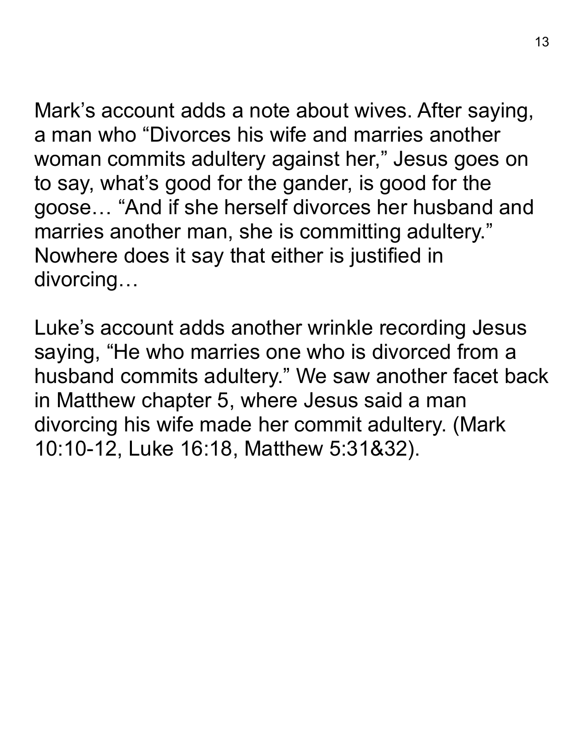Mark's account adds a note about wives. After saying, a man who "Divorces his wife and marries another woman commits adultery against her, " Jesus goes on to say, what's good for the gander, is good for the goose… "And if she herself divorces her husband and marries another man, she is committing adultery." Nowhere does it say that either is justified in divorcing…

Luke's account adds another wrinkle recording Jesus saying, "He who marries one who is divorced from a husband commits adultery." We saw another facet back in Matthew chapter 5, where Jesus said a man divorcing his wife made her commit adultery. (Mark 10:10-12, Luke 16:18, Matthew 5:31&32).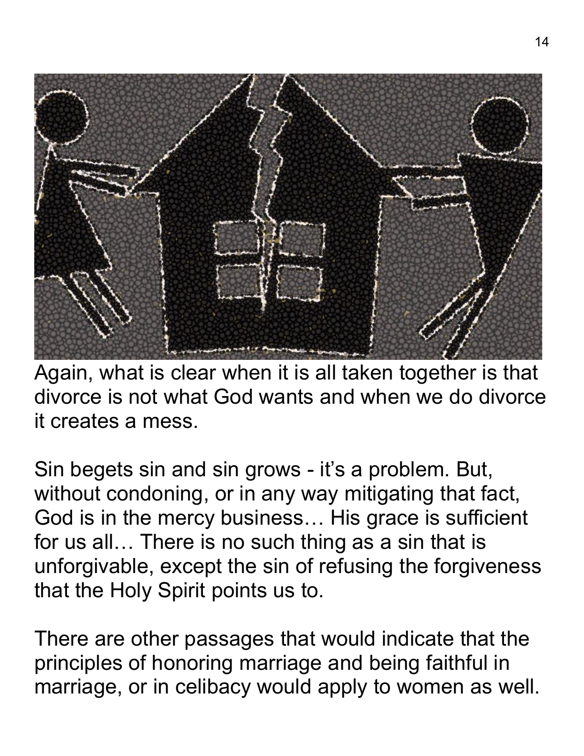

Again, what is clear when it is all taken together is that divorce is not what God wants and when we do divorce it creates a mess.

Sin begets sin and sin grows - it's a problem. But, without condoning, or in any way mitigating that fact, God is in the mercy business… His grace is sufficient for us all… There is no such thing as a sin that is unforgivable, except the sin of refusing the forgiveness that the Holy Spirit points us to.

There are other passages that would indicate that the principles of honoring marriage and being faithful in marriage, or in celibacy would apply to women as well.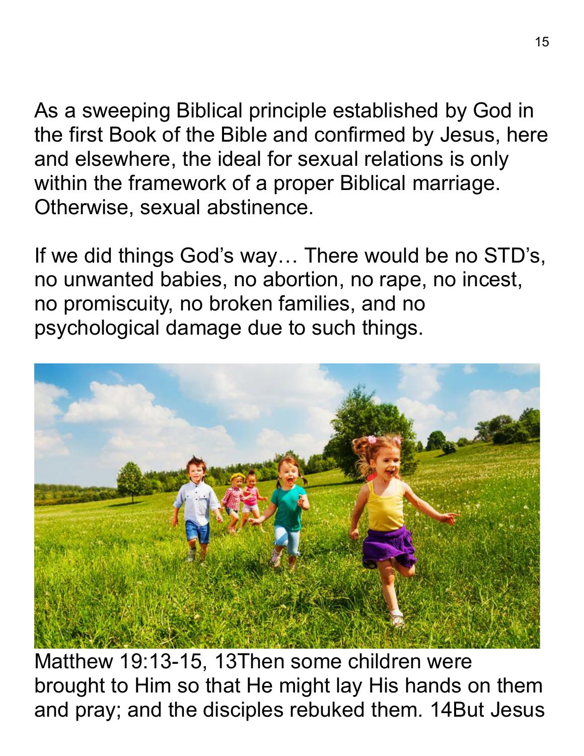As a sweeping Biblical principle established by God in the first Book of the Bible and confirmed by Jesus, here and elsewhere, the ideal for sexual relations is only within the framework of a proper Biblical marriage. Otherwise, sexual abstinence.

If we did things God's way… There would be no STD's, no unwanted babies, no abortion, no rape, no incest, no promiscuity, no broken families, and no psychological damage due to such things.



Matthew 19:13-15, 13Then some children were brought to Him so that He might lay His hands on them and pray; and the disciples rebuked them. 14But Jesus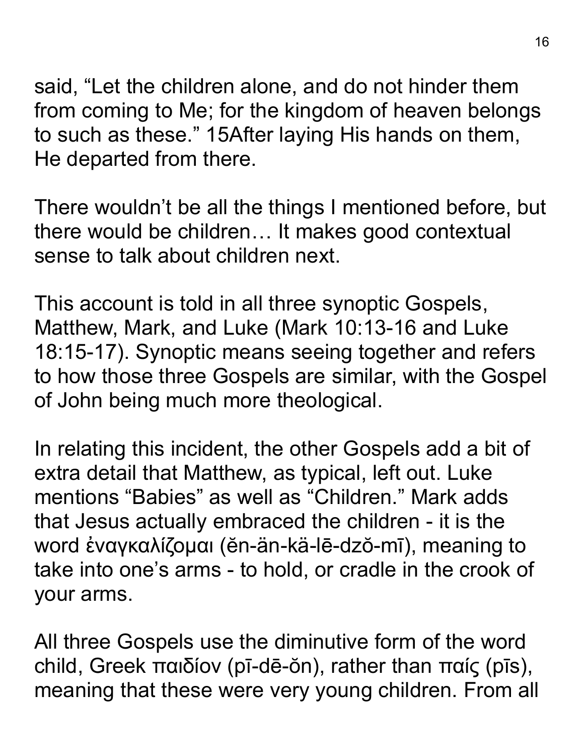said, "Let the children alone, and do not hinder them from coming to Me; for the kingdom of heaven belongs to such as these." 15After laying His hands on them, He departed from there.

There wouldn't be all the things I mentioned before, but there would be children… It makes good contextual sense to talk about children next.

This account is told in all three synoptic Gospels, Matthew, Mark, and Luke (Mark 10:13-16 and Luke 18:15-17). Synoptic means seeing together and refers to how those three Gospels are similar, with the Gospel of John being much more theological.

In relating this incident, the other Gospels add a bit of extra detail that Matthew, as typical, left out. Luke mentions "Babies" as well as "Children." Mark adds that Jesus actually embraced the children - it is the word ἐναγκαλίζομαι (ĕn-än-kä-lē-dzŏ-mī), meaning to take into one's arms - to hold, or cradle in the crook of your arms.

All three Gospels use the diminutive form of the word child, Greek παιδίον (pī-dē-ŏn), rather than παίς (pīs), meaning that these were very young children. From all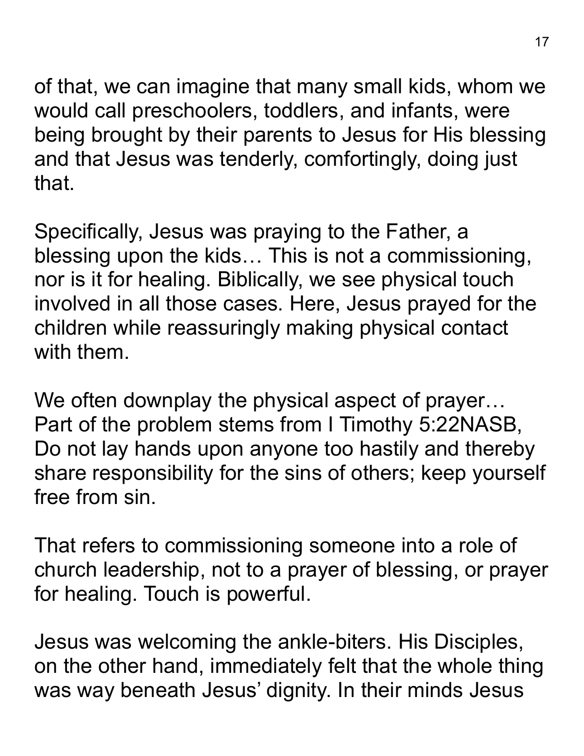of that, we can imagine that many small kids, whom we would call preschoolers, toddlers, and infants, were being brought by their parents to Jesus for His blessing and that Jesus was tenderly, comfortingly, doing just that.

Specifically, Jesus was praying to the Father, a blessing upon the kids… This is not a commissioning, nor is it for healing. Biblically, we see physical touch involved in all those cases. Here, Jesus prayed for the children while reassuringly making physical contact with them.

We often downplay the physical aspect of prayer... Part of the problem stems from I Timothy 5:22NASB, Do not lay hands upon anyone too hastily and thereby share responsibility for the sins of others; keep yourself free from sin.

That refers to commissioning someone into a role of church leadership, not to a prayer of blessing, or prayer for healing. Touch is powerful.

Jesus was welcoming the ankle-biters. His Disciples, on the other hand, immediately felt that the whole thing was way beneath Jesus' dignity. In their minds Jesus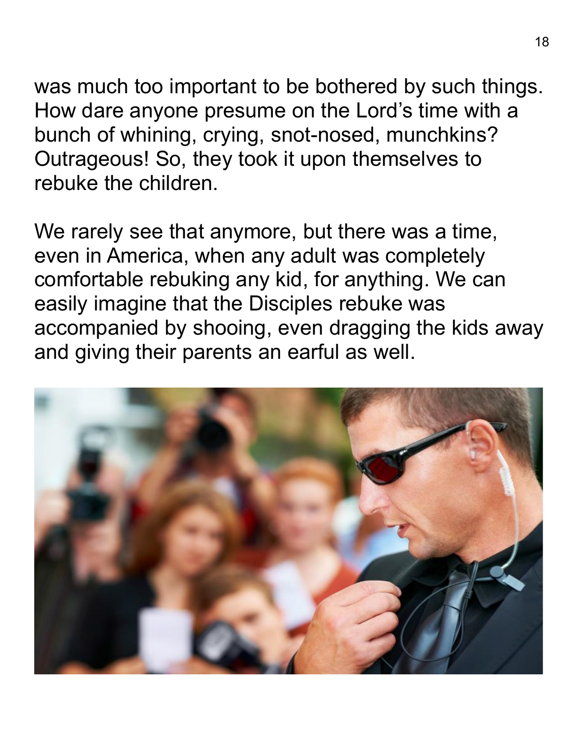was much too important to be bothered by such things. How dare anyone presume on the Lord's time with a bunch of whining, crying, snot-nosed, munchkins? Outrageous! So, they took it upon themselves to rebuke the children.

We rarely see that anymore, but there was a time, even in America, when any adult was completely comfortable rebuking any kid, for anything. We can easily imagine that the Disciples rebuke was accompanied by shooing, even dragging the kids away and giving their parents an earful as well.

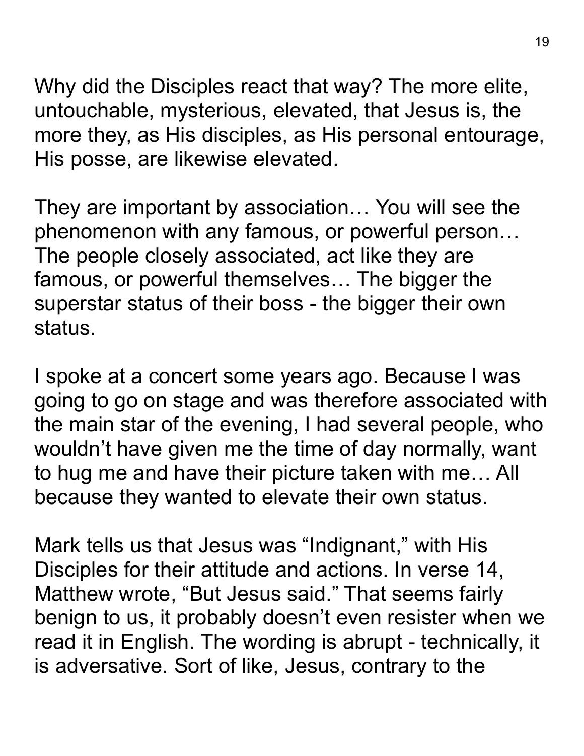Why did the Disciples react that way? The more elite, untouchable, mysterious, elevated, that Jesus is, the more they, as His disciples, as His personal entourage, His posse, are likewise elevated.

They are important by association… You will see the phenomenon with any famous, or powerful person… The people closely associated, act like they are famous, or powerful themselves… The bigger the superstar status of their boss - the bigger their own status.

I spoke at a concert some years ago. Because I was going to go on stage and was therefore associated with the main star of the evening, I had several people, who wouldn't have given me the time of day normally, want to hug me and have their picture taken with me… All because they wanted to elevate their own status.

Mark tells us that Jesus was "Indignant," with His Disciples for their attitude and actions. In verse 14, Matthew wrote, "But Jesus said." That seems fairly benign to us, it probably doesn't even resister when we read it in English. The wording is abrupt - technically, it is adversative. Sort of like, Jesus, contrary to the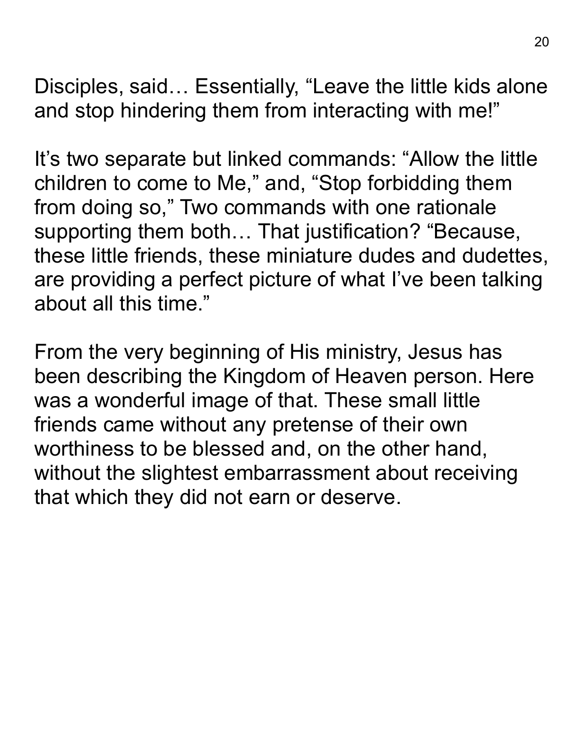Disciples, said… Essentially, "Leave the little kids alone and stop hindering them from interacting with me!"

It's two separate but linked commands: "Allow the little children to come to Me," and, "Stop forbidding them from doing so," Two commands with one rationale supporting them both… That justification? "Because, these little friends, these miniature dudes and dudettes, are providing a perfect picture of what I've been talking about all this time."

From the very beginning of His ministry, Jesus has been describing the Kingdom of Heaven person. Here was a wonderful image of that. These small little friends came without any pretense of their own worthiness to be blessed and, on the other hand, without the slightest embarrassment about receiving that which they did not earn or deserve.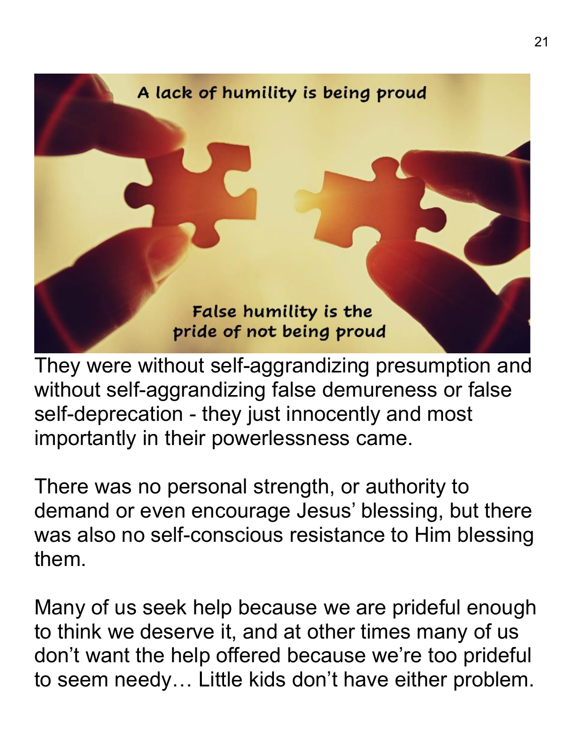

They were without self-aggrandizing presumption and without self-aggrandizing false demureness or false self-deprecation - they just innocently and most importantly in their powerlessness came.

There was no personal strength, or authority to demand or even encourage Jesus' blessing, but there was also no self-conscious resistance to Him blessing them.

Many of us seek help because we are prideful enough to think we deserve it, and at other times many of us don't want the help offered because we're too prideful to seem needy… Little kids don't have either problem.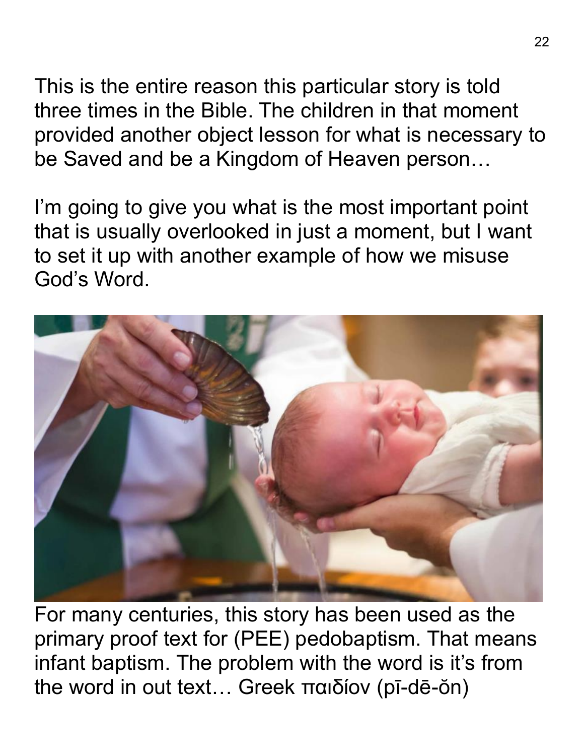This is the entire reason this particular story is told three times in the Bible. The children in that moment provided another object lesson for what is necessary to be Saved and be a Kingdom of Heaven person…

I'm going to give you what is the most important point that is usually overlooked in just a moment, but I want to set it up with another example of how we misuse God's Word.



For many centuries, this story has been used as the primary proof text for (PEE) pedobaptism. That means infant baptism. The problem with the word is it's from the word in out text… Greek παιδίον (pī-dē-ŏn)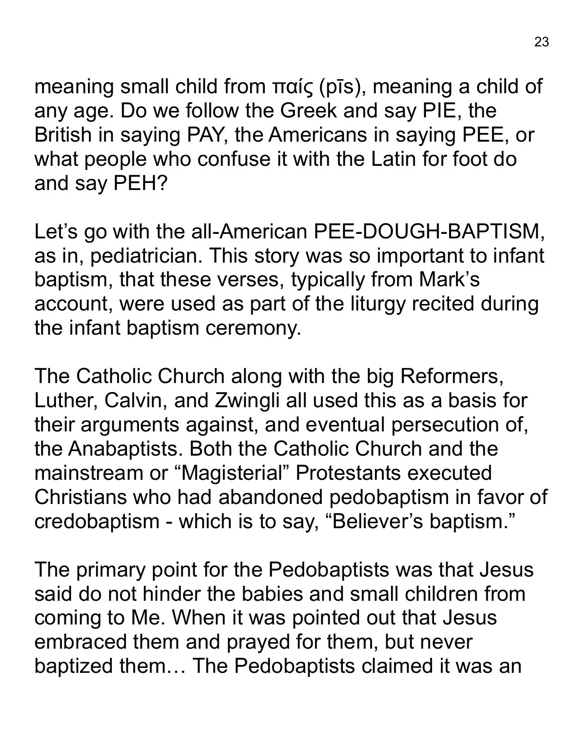meaning small child from παίς (pīs), meaning a child of any age. Do we follow the Greek and say PIE, the British in saying PAY, the Americans in saying PEE, or what people who confuse it with the Latin for foot do and say PEH?

Let's go with the all-American PEE-DOUGH-BAPTISM, as in, pediatrician. This story was so important to infant baptism, that these verses, typically from Mark's account, were used as part of the liturgy recited during the infant baptism ceremony.

The Catholic Church along with the big Reformers, Luther, Calvin, and Zwingli all used this as a basis for their arguments against, and eventual persecution of, the Anabaptists. Both the Catholic Church and the mainstream or "Magisterial" Protestants executed Christians who had abandoned pedobaptism in favor of credobaptism - which is to say, "Believer's baptism."

The primary point for the Pedobaptists was that Jesus said do not hinder the babies and small children from coming to Me. When it was pointed out that Jesus embraced them and prayed for them, but never baptized them… The Pedobaptists claimed it was an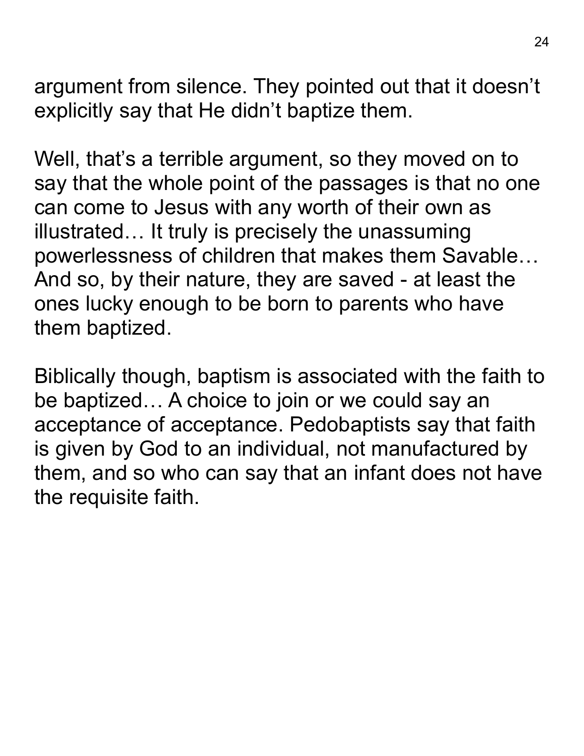argument from silence. They pointed out that it doesn't explicitly say that He didn't baptize them.

Well, that's a terrible argument, so they moved on to say that the whole point of the passages is that no one can come to Jesus with any worth of their own as illustrated… It truly is precisely the unassuming powerlessness of children that makes them Savable… And so, by their nature, they are saved - at least the ones lucky enough to be born to parents who have them baptized.

Biblically though, baptism is associated with the faith to be baptized… A choice to join or we could say an acceptance of acceptance. Pedobaptists say that faith is given by God to an individual, not manufactured by them, and so who can say that an infant does not have the requisite faith.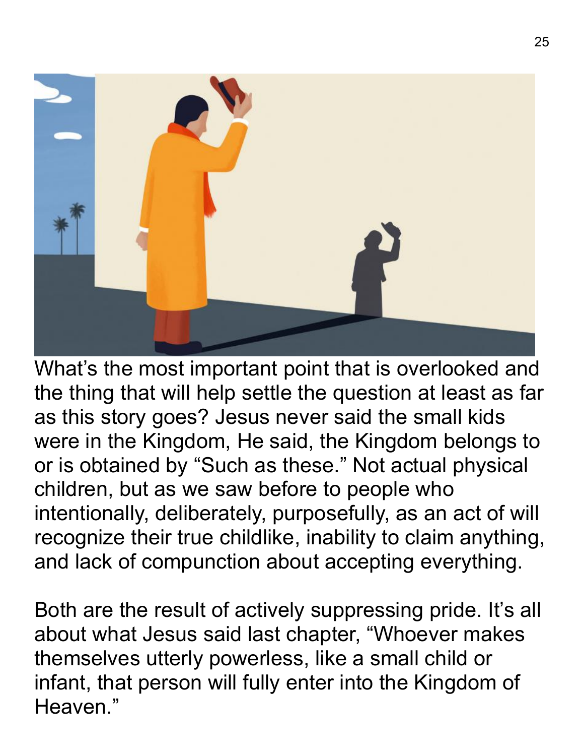

What's the most important point that is overlooked and the thing that will help settle the question at least as far as this story goes? Jesus never said the small kids were in the Kingdom, He said, the Kingdom belongs to or is obtained by "Such as these." Not actual physical children, but as we saw before to people who intentionally, deliberately, purposefully, as an act of will recognize their true childlike, inability to claim anything, and lack of compunction about accepting everything.

Both are the result of actively suppressing pride. It's all about what Jesus said last chapter, "Whoever makes themselves utterly powerless, like a small child or infant, that person will fully enter into the Kingdom of Heaven."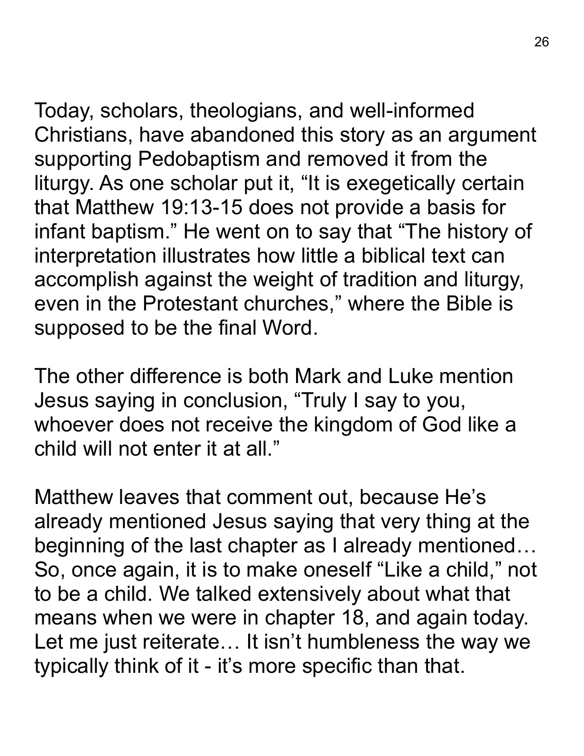Today, scholars, theologians, and well-informed Christians, have abandoned this story as an argument supporting Pedobaptism and removed it from the liturgy. As one scholar put it, "It is exegetically certain that Matthew 19:13-15 does not provide a basis for infant baptism." He went on to say that "The history of interpretation illustrates how little a biblical text can accomplish against the weight of tradition and liturgy, even in the Protestant churches," where the Bible is supposed to be the final Word.

The other difference is both Mark and Luke mention Jesus saying in conclusion, "Truly I say to you, whoever does not receive the kingdom of God like a child will not enter it at all."

Matthew leaves that comment out, because He's already mentioned Jesus saying that very thing at the beginning of the last chapter as I already mentioned… So, once again, it is to make oneself "Like a child," not to be a child. We talked extensively about what that means when we were in chapter 18, and again today. Let me just reiterate… It isn't humbleness the way we typically think of it - it's more specific than that.